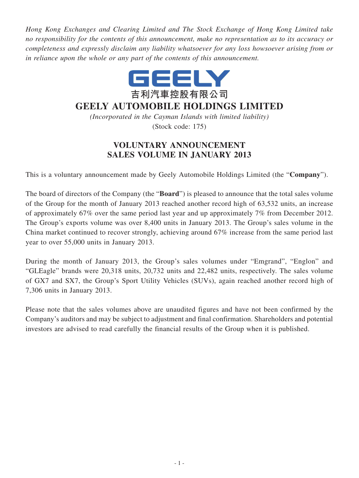*Hong Kong Exchanges and Clearing Limited and The Stock Exchange of Hong Kong Limited take no responsibility for the contents of this announcement, make no representation as to its accuracy or completeness and expressly disclaim any liability whatsoever for any loss howsoever arising from or in reliance upon the whole or any part of the contents of this announcement.*



## **GEELY AUTOMOBILE HOLDINGS LIMITED**

*(Incorporated in the Cayman Islands with limited liability)* (Stock code: 175)

## **VOLUNTARY ANNOUNCEMENT SALES VOLUME IN JANUARY 2013**

This is a voluntary announcement made by Geely Automobile Holdings Limited (the "**Company**").

The board of directors of the Company (the "**Board**") is pleased to announce that the total sales volume of the Group for the month of January 2013 reached another record high of 63,532 units, an increase of approximately 67% over the same period last year and up approximately 7% from December 2012. The Group's exports volume was over 8,400 units in January 2013. The Group's sales volume in the China market continued to recover strongly, achieving around 67% increase from the same period last year to over 55,000 units in January 2013.

During the month of January 2013, the Group's sales volumes under "Emgrand", "Englon" and "GLEagle" brands were 20,318 units, 20,732 units and 22,482 units, respectively. The sales volume of GX7 and SX7, the Group's Sport Utility Vehicles (SUVs), again reached another record high of 7,306 units in January 2013.

Please note that the sales volumes above are unaudited figures and have not been confirmed by the Company's auditors and may be subject to adjustment and final confirmation. Shareholders and potential investors are advised to read carefully the financial results of the Group when it is published.